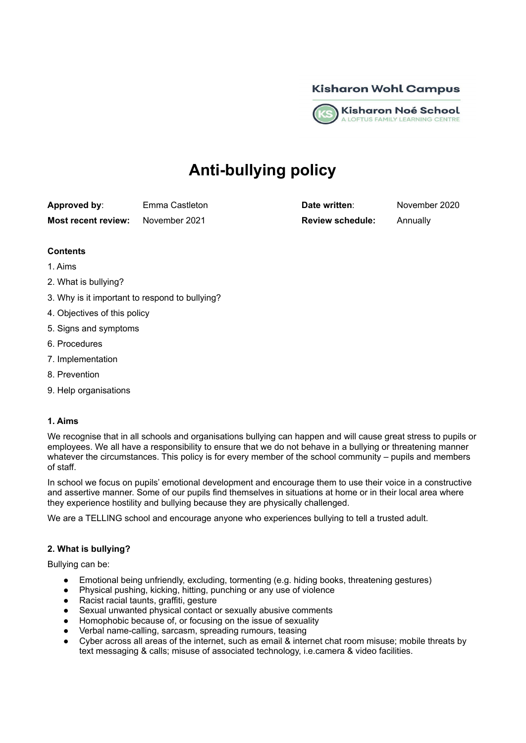



# **Anti-bullying policy**

**Approved by**: Emma Castleton **Date written**: November 2020 **Most recent review:** November 2021 **Review schedule:** Annually

## **Contents**

- 1. Aims
- 2. What is bullying?
- 3. Why is it important to respond to bullying?
- 4. Objectives of this policy
- 5. Signs and symptoms
- 6. Procedures
- 7. Implementation
- 8. Prevention
- 9. Help organisations

### **1. Aims**

We recognise that in all schools and organisations bullying can happen and will cause great stress to pupils or employees. We all have a responsibility to ensure that we do not behave in a bullying or threatening manner whatever the circumstances. This policy is for every member of the school community – pupils and members of staff.

In school we focus on pupils' emotional development and encourage them to use their voice in a constructive and assertive manner. Some of our pupils find themselves in situations at home or in their local area where they experience hostility and bullying because they are physically challenged.

We are a TELLING school and encourage anyone who experiences bullying to tell a trusted adult.

### **2. What is bullying?**

Bullying can be:

- Emotional being unfriendly, excluding, tormenting (e.g. hiding books, threatening gestures)
- Physical pushing, kicking, hitting, punching or any use of violence
- Racist racial taunts, graffiti, gesture
- Sexual unwanted physical contact or sexually abusive comments
- Homophobic because of, or focusing on the issue of sexuality
- Verbal name-calling, sarcasm, spreading rumours, teasing
- Cyber across all areas of the internet, such as email & internet chat room misuse; mobile threats by text messaging & calls; misuse of associated technology, i.e.camera & video facilities.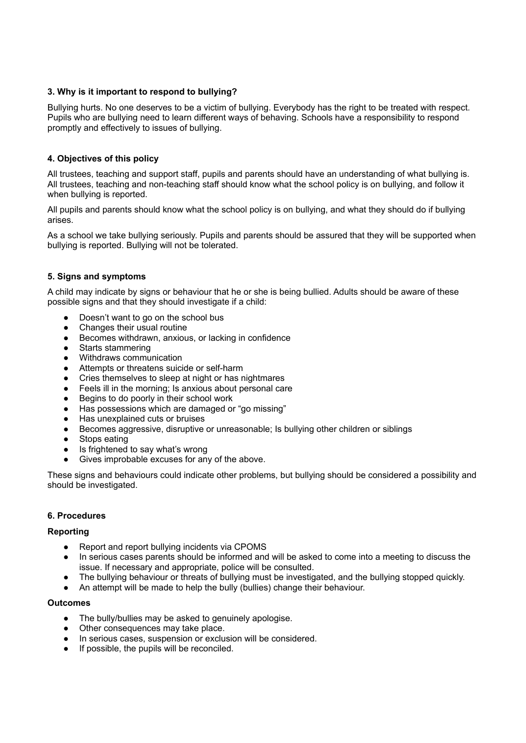# **3. Why is it important to respond to bullying?**

Bullying hurts. No one deserves to be a victim of bullying. Everybody has the right to be treated with respect. Pupils who are bullying need to learn different ways of behaving. Schools have a responsibility to respond promptly and effectively to issues of bullying.

## **4. Objectives of this policy**

All trustees, teaching and support staff, pupils and parents should have an understanding of what bullying is. All trustees, teaching and non-teaching staff should know what the school policy is on bullying, and follow it when bullying is reported.

All pupils and parents should know what the school policy is on bullying, and what they should do if bullying arises.

As a school we take bullying seriously. Pupils and parents should be assured that they will be supported when bullying is reported. Bullying will not be tolerated.

## **5. Signs and symptoms**

A child may indicate by signs or behaviour that he or she is being bullied. Adults should be aware of these possible signs and that they should investigate if a child:

- Doesn't want to go on the school bus
- Changes their usual routine
- Becomes withdrawn, anxious, or lacking in confidence
- Starts stammering
- Withdraws communication
- Attempts or threatens suicide or self-harm
- Cries themselves to sleep at night or has nightmares
- Feels ill in the morning; Is anxious about personal care
- Begins to do poorly in their school work
- Has possessions which are damaged or "go missing"
- Has unexplained cuts or bruises
- Becomes aggressive, disruptive or unreasonable; Is bullying other children or siblings
- Stops eating
- Is frightened to say what's wrong
- Gives improbable excuses for any of the above.

These signs and behaviours could indicate other problems, but bullying should be considered a possibility and should be investigated.

### **6. Procedures**

### **Reporting**

- Report and report bullying incidents via CPOMS
- In serious cases parents should be informed and will be asked to come into a meeting to discuss the issue. If necessary and appropriate, police will be consulted.
- The bullying behaviour or threats of bullying must be investigated, and the bullying stopped quickly.
- An attempt will be made to help the bully (bullies) change their behaviour.

#### **Outcomes**

- The bully/bullies may be asked to genuinely apologise.
- Other consequences may take place.
- In serious cases, suspension or exclusion will be considered.
- If possible, the pupils will be reconciled.